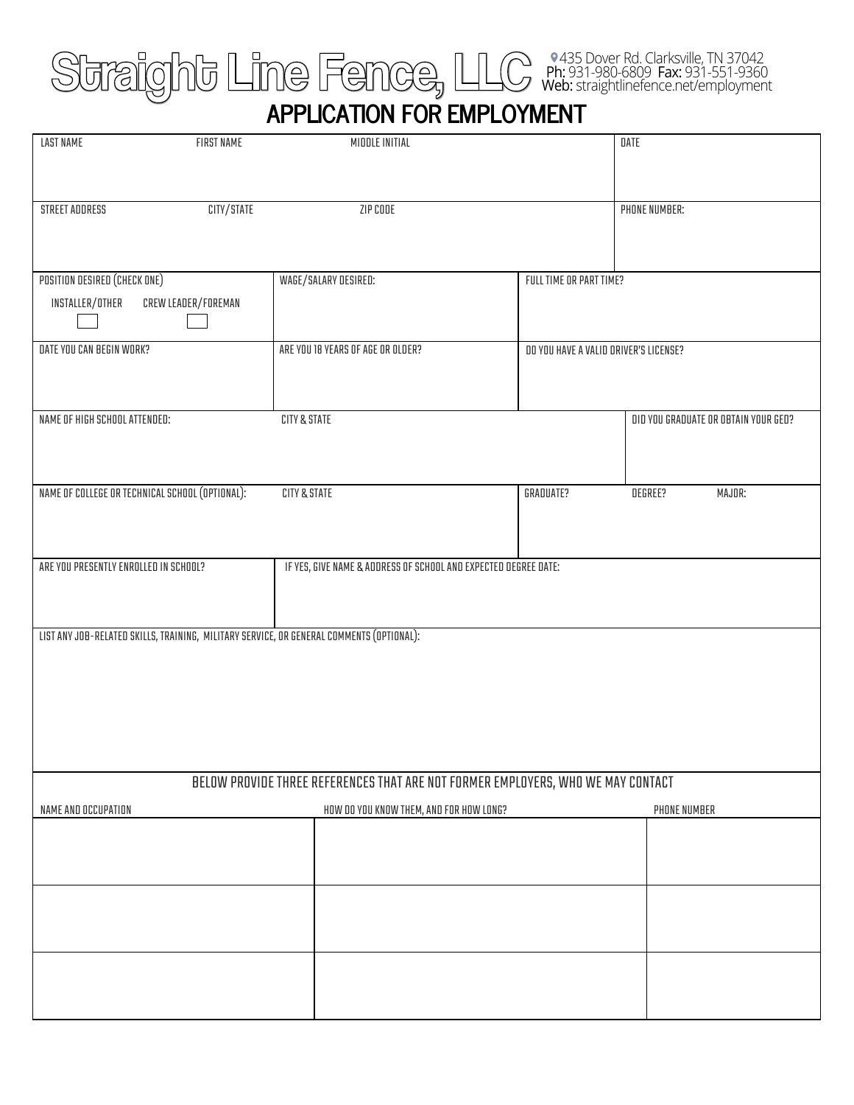## **APPLICATION FOR EMPLOYMENT**

| <b>LAST NAME</b>                                | FIRST NAME          | MIDDLE INITIAL                                                                           |                                       | DATE                                 |
|-------------------------------------------------|---------------------|------------------------------------------------------------------------------------------|---------------------------------------|--------------------------------------|
| STREET ADDRESS                                  | CITY/STATE          | ZIP CODE                                                                                 |                                       | PHONE NUMBER:                        |
| POSITION DESIRED (CHECK ONE)                    |                     | WAGE/SALARY DESIRED:                                                                     | FULL TIME OR PART TIME?               |                                      |
| INSTALLER/OTHER                                 | CREW LEADER/FOREMAN |                                                                                          |                                       |                                      |
| DATE YOU CAN BEGIN WORK?                        |                     | ARE YOU 18 YEARS OF AGE OR OLDER?                                                        | DO YOU HAVE A VALID DRIVER'S LICENSE? |                                      |
| NAME OF HIGH SCHOOL ATTENDED:                   |                     | CITY & STATE                                                                             |                                       | DID YOU GRADUATE OR OBTAIN YOUR GED? |
| NAME OF COLLEGE OR TECHNICAL SCHOOL (OPTIONAL): |                     | CITY & STATE                                                                             | GRADUATE?                             | DEGREE?<br>MAJOR:                    |
| ARE YOU PRESENTLY ENROLLED IN SCHOOL?           |                     | IF YES, GIVE NAME & ADDRESS OF SCHOOL AND EXPECTED DEGREE DATE:                          |                                       |                                      |
|                                                 |                     | LIST ANY JOB-RELATED SKILLS, TRAINING, MILITARY SERVICE, OR GENERAL COMMENTS (OPTIONAL): |                                       |                                      |
|                                                 |                     | BELOW PROVIDE THREE REFERENCES THAT ARE NOT FORMER EMPLOYERS, WHO WE MAY CONTACT         |                                       |                                      |
| NAME AND OCCUPATION                             |                     | HOW DO YOU KNOW THEM, AND FOR HOW LONG?                                                  |                                       | PHONE NUMBER                         |
|                                                 |                     |                                                                                          |                                       |                                      |
|                                                 |                     |                                                                                          |                                       |                                      |